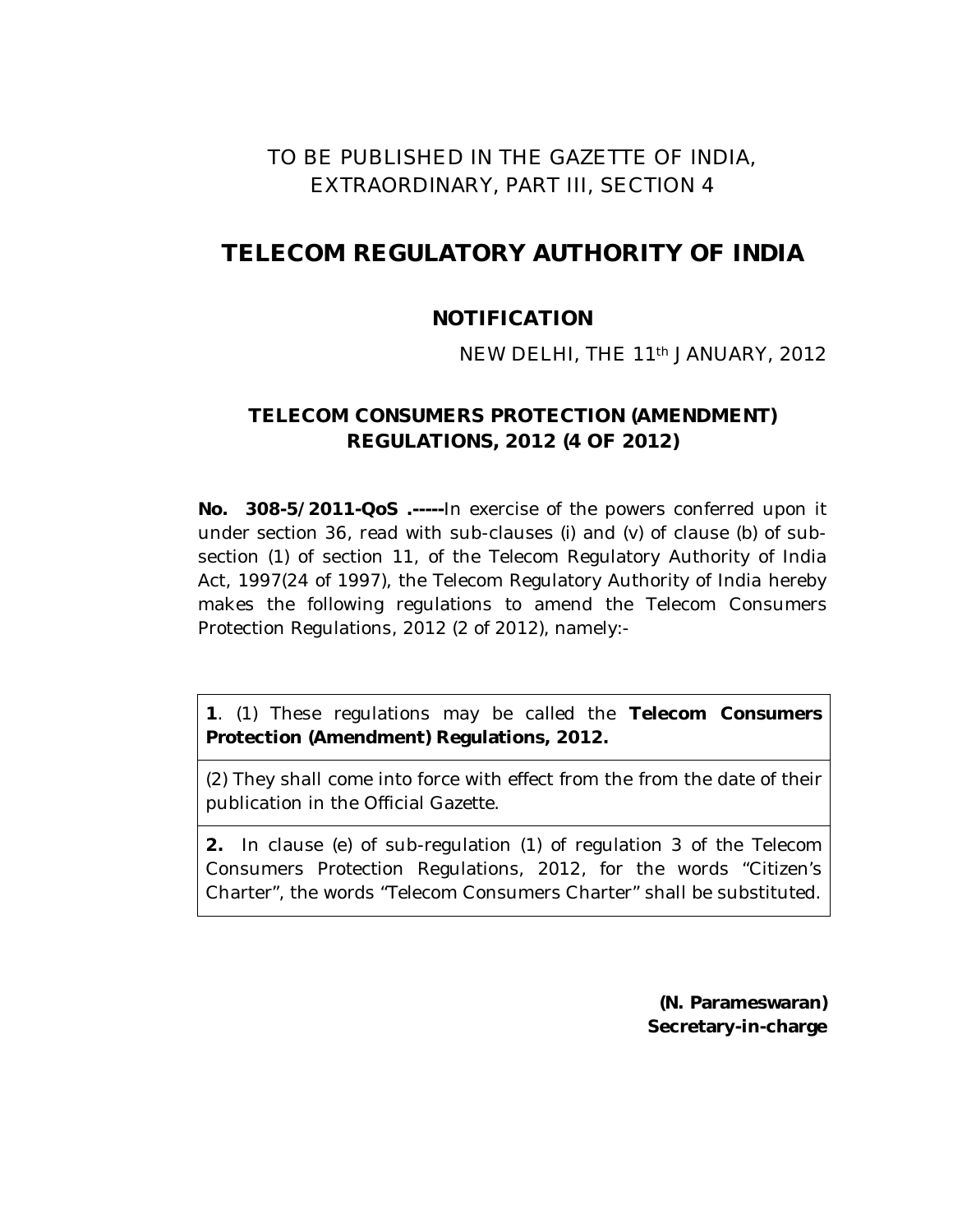## TO BE PUBLISHED IN THE GAZETTE OF INDIA, EXTRAORDINARY, PART III, SECTION 4

# **TELECOM REGULATORY AUTHORITY OF INDIA**

### **NOTIFICATION**

#### NEW DELHI, THE 11th JANUARY, 2012

#### **TELECOM CONSUMERS PROTECTION (AMENDMENT) REGULATIONS, 2012 (4 OF 2012)**

**No. 308-5/2011-QoS .-----**In exercise of the powers conferred upon it under section 36, read with sub-clauses (*i*) and (*v*) of clause (*b*) of subsection (*1*) of section 11, of the Telecom Regulatory Authority of India Act, 1997(24 of 1997), the Telecom Regulatory Authority of India hereby makes the following regulations to amend the Telecom Consumers Protection Regulations, 2012 (2 of 2012), namely:-

**1**. (1) These regulations may be called the **Telecom Consumers Protection (Amendment) Regulations, 2012.**

(2) They shall come into force with effect from the from the date of their publication in the Official Gazette.

**2.** In clause (e) of sub-regulation (1) of regulation 3 of the Telecom Consumers Protection Regulations, 2012, for the words "Citizen's Charter", the words "Telecom Consumers Charter" shall be substituted.

> **(N. Parameswaran) Secretary-in-charge**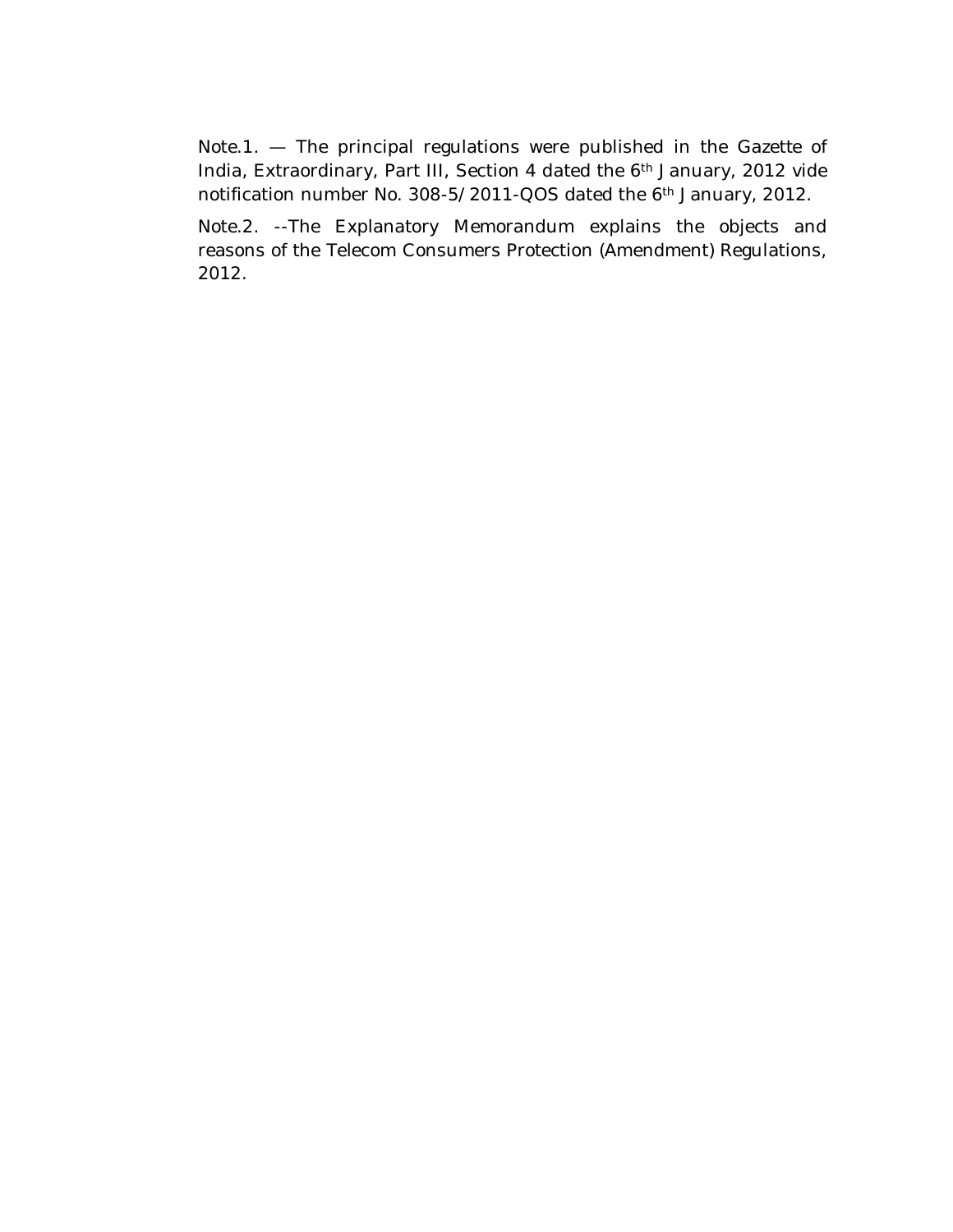Note.1. — The principal regulations were published in the Gazette of India, Extraordinary, Part III, Section 4 dated the 6th January, 2012 vide notification number No. 308-5/2011-QOS dated the 6th January, 2012.

Note.2. --The Explanatory Memorandum explains the objects and reasons of the Telecom Consumers Protection (Amendment) Regulations, 2012.